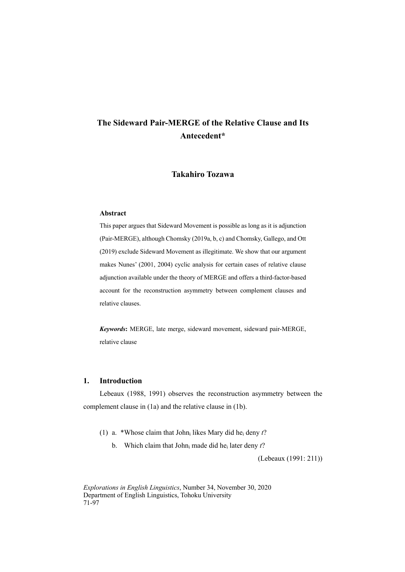# **Takahiro Tozawa**

# **Abstract**

This paper argues that Sideward Movement is possible as long as it is adjunction (Pair-MERGE), although Chomsky (2019a, b, c) and Chomsky, Gallego, and Ott (2019) exclude Sideward Movement as illegitimate. We show that our argument makes Nunes' (2001, 2004) cyclic analysis for certain cases of relative clause adjunction available under the theory of MERGE and offers a third-factor-based account for the reconstruction asymmetry between complement clauses and relative clauses.

*Keywords***:** MERGE, late merge, sideward movement, sideward pair-MERGE, relative clause

# **1. Introduction**

Lebeaux (1988, 1991) observes the reconstruction asymmetry between the complement clause in (1a) and the relative clause in (1b).

- (1) a. \*Whose claim that Johni likes Mary did hei deny *t*?
	- b. Which claim that Johni made did hei later deny *t*?

(Lebeaux (1991: 211))

*Explorations in English Linguistics*, Number 34, November 30, 2020 Department of English Linguistics, Tohoku University 71-97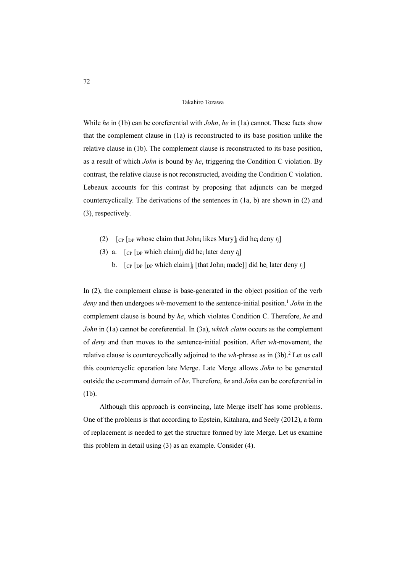While *he* in (1b) can be coreferential with *John*, *he* in (1a) cannot. These facts show that the complement clause in (1a) is reconstructed to its base position unlike the relative clause in (1b). The complement clause is reconstructed to its base position, as a result of which *John* is bound by *he*, triggering the Condition C violation. By contrast, the relative clause is not reconstructed, avoiding the Condition C violation. Lebeaux accounts for this contrast by proposing that adjuncts can be merged countercyclically. The derivations of the sentences in (1a, b) are shown in (2) and (3), respectively.

- (2)  $\int_{\text{CP}} \int_{\text{DP}}$  whose claim that John<sub>i</sub> likes Mary]<sub>i</sub> did he<sub>i</sub> deny *t*<sub>i</sub>
- (3) a.  $\lceil$  CP  $\lceil$  DP which claim]<sub>i</sub> did he<sub>i</sub> later deny  $t_i$ ]
	- b.  $\left[\begin{array}{cc} \n\text{Cp} & \n\text{Dp} & \n\text{Dp} & \n\end{array}\right]$  which claim  $\left[\begin{array}{cc} \n\text{fhat John}_i \text{ made} \n\end{array}\right]$  did he<sub>i</sub> later deny  $t_i$

In (2), the complement clause is base-generated in the object position of the verb *deny* and then undergoes *wh*-movement to the sentence-initial position.<sup>1</sup> *John* in the complement clause is bound by *he*, which violates Condition C. Therefore, *he* and *John* in (1a) cannot be coreferential. In (3a), *which claim* occurs as the complement of *deny* and then moves to the sentence-initial position. After *wh*-movement, the relative clause is countercyclically adjoined to the  $wh$ -phrase as in  $(3b)$ <sup>2</sup>. Let us call this countercyclic operation late Merge. Late Merge allows *John* to be generated outside the c-command domain of *he*. Therefore, *he* and *John* can be coreferential in (1b).

Although this approach is convincing, late Merge itself has some problems. One of the problems is that according to Epstein, Kitahara, and Seely (2012), a form of replacement is needed to get the structure formed by late Merge. Let us examine this problem in detail using (3) as an example. Consider (4).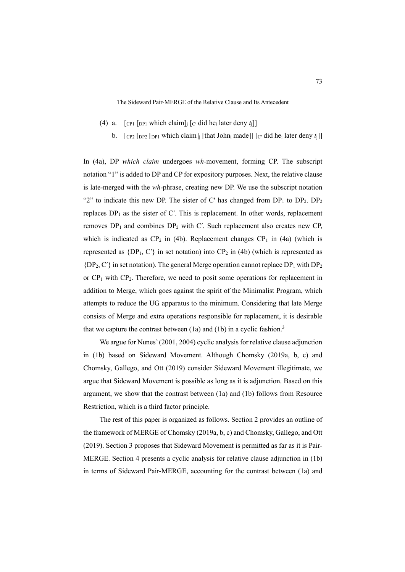- (4) a.  $\lceil \text{CPI} \rceil \lceil \text{DPI} \rceil$  which claim]<sub>i</sub>  $\lceil \text{C}' \rceil$  did he<sub>i</sub> later deny  $t_i \rceil$ ]
	- b.  $\left[$   $\left[$   $\left[$   $\right]$  $\left[$   $\left[$   $\right]$  $\right]$  $\left[$   $\left[$   $\left[$   $\left[$   $\right]$  $\left[$  $\right]$  $\left[$  $\left[$  $\left[$  $\right]$  $\left[$  $\left[$  $\right]$  $\left[$  $\left[$  $\left[$  $\right]$  $\left[$  $\left[$  $\left[$  $\right]$  $\left[$  $\left[$  $\left[$  $\right]$  $\left[$  $\left[$  $\left[ \right]$  $\left[ \left[ \right] \right]$  $\left[ \left[$

In (4a), DP *which claim* undergoes *wh*-movement, forming CP. The subscript notation "1" is added to DP and CP for expository purposes. Next, the relative clause is late-merged with the *wh*-phrase, creating new DP. We use the subscript notation "2" to indicate this new DP. The sister of C' has changed from  $DP_1$  to  $DP_2$ .  $DP_2$ replaces  $DP_1$  as the sister of C'. This is replacement. In other words, replacement removes  $DP_1$  and combines  $DP_2$  with C'. Such replacement also creates new CP, which is indicated as  $CP_2$  in (4b). Replacement changes  $CP_1$  in (4a) (which is represented as  ${DP_1, C'}$  in set notation) into  ${CP_2}$  in (4b) (which is represented as  ${DP_2, C'}$  in set notation). The general Merge operation cannot replace  $DP_1$  with  $DP_2$ or  $CP_1$  with  $CP_2$ . Therefore, we need to posit some operations for replacement in addition to Merge, which goes against the spirit of the Minimalist Program, which attempts to reduce the UG apparatus to the minimum. Considering that late Merge consists of Merge and extra operations responsible for replacement, it is desirable that we capture the contrast between  $(1a)$  and  $(1b)$  in a cyclic fashion.<sup>3</sup>

We argue for Nunes' (2001, 2004) cyclic analysis for relative clause adjunction in (1b) based on Sideward Movement. Although Chomsky (2019a, b, c) and Chomsky, Gallego, and Ott (2019) consider Sideward Movement illegitimate, we argue that Sideward Movement is possible as long as it is adjunction. Based on this argument, we show that the contrast between (1a) and (1b) follows from Resource Restriction, which is a third factor principle.

The rest of this paper is organized as follows. Section 2 provides an outline of the framework of MERGE of Chomsky (2019a, b, c) and Chomsky, Gallego, and Ott (2019). Section 3 proposes that Sideward Movement is permitted as far as it is Pair-MERGE. Section 4 presents a cyclic analysis for relative clause adjunction in (1b) in terms of Sideward Pair-MERGE, accounting for the contrast between (1a) and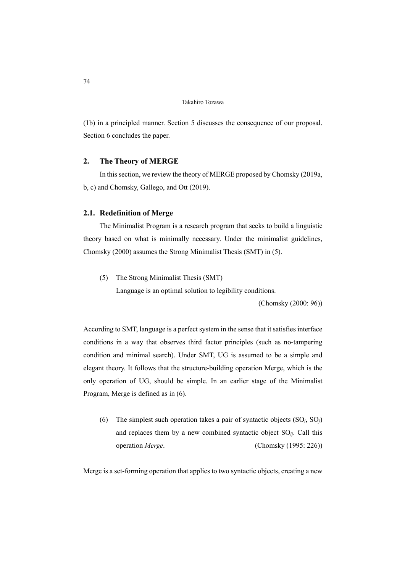(1b) in a principled manner. Section 5 discusses the consequence of our proposal. Section 6 concludes the paper.

# **2. The Theory of MERGE**

In this section, we review the theory of MERGE proposed by Chomsky (2019a, b, c) and Chomsky, Gallego, and Ott (2019).

# **2.1. Redefinition of Merge**

The Minimalist Program is a research program that seeks to build a linguistic theory based on what is minimally necessary. Under the minimalist guidelines, Chomsky (2000) assumes the Strong Minimalist Thesis (SMT) in (5).

(5) The Strong Minimalist Thesis (SMT)

Language is an optimal solution to legibility conditions.

(Chomsky (2000: 96))

According to SMT, language is a perfect system in the sense that it satisfies interface conditions in a way that observes third factor principles (such as no-tampering condition and minimal search). Under SMT, UG is assumed to be a simple and elegant theory. It follows that the structure-building operation Merge, which is the only operation of UG, should be simple. In an earlier stage of the Minimalist Program, Merge is defined as in (6).

(6) The simplest such operation takes a pair of syntactic objects (SO*i*, SO*j*) and replaces them by a new combined syntactic object  $SO_{ij}$ . Call this operation *Merge*. (Chomsky (1995: 226))

Merge is a set-forming operation that applies to two syntactic objects, creating a new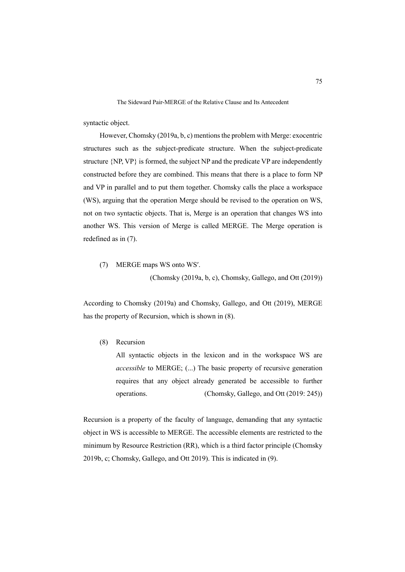syntactic object.

However, Chomsky (2019a, b, c) mentions the problem with Merge: exocentric structures such as the subject-predicate structure. When the subject-predicate structure {NP, VP} is formed, the subject NP and the predicate VP are independently constructed before they are combined. This means that there is a place to form NP and VP in parallel and to put them together. Chomsky calls the place a workspace (WS), arguing that the operation Merge should be revised to the operation on WS, not on two syntactic objects. That is, Merge is an operation that changes WS into another WS. This version of Merge is called MERGE. The Merge operation is redefined as in (7).

(7) MERGE maps WS onto WSʹ.

(Chomsky (2019a, b, c), Chomsky, Gallego, and Ott (2019))

According to Chomsky (2019a) and Chomsky, Gallego, and Ott (2019), MERGE has the property of Recursion, which is shown in (8).

(8) Recursion

All syntactic objects in the lexicon and in the workspace WS are *accessible* to MERGE; (...) The basic property of recursive generation requires that any object already generated be accessible to further operations. (Chomsky, Gallego, and Ott (2019: 245))

Recursion is a property of the faculty of language, demanding that any syntactic object in WS is accessible to MERGE. The accessible elements are restricted to the minimum by Resource Restriction (RR), which is a third factor principle (Chomsky 2019b, c; Chomsky, Gallego, and Ott 2019). This is indicated in (9).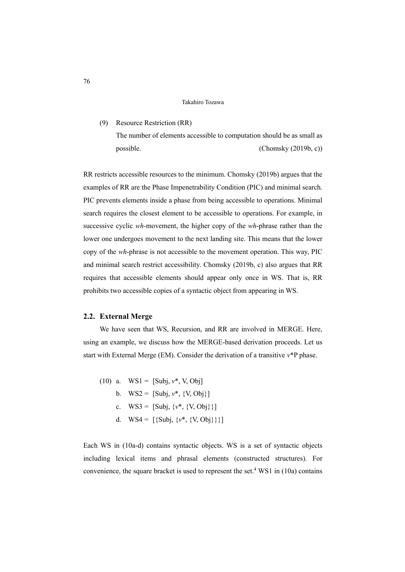### (9) Resource Restriction (RR)

The number of elements accessible to computation should be as small as possible. (Chomsky (2019b, c))

RR restricts accessible resources to the minimum. Chomsky (2019b) argues that the examples of RR are the Phase Impenetrability Condition (PIC) and minimal search. PIC prevents elements inside a phase from being accessible to operations. Minimal search requires the closest element to be accessible to operations. For example, in successive cyclic *wh*-movement, the higher copy of the *wh*-phrase rather than the lower one undergoes movement to the next landing site. This means that the lower copy of the *wh*-phrase is not accessible to the movement operation. This way, PIC and minimal search restrict accessibility. Chomsky (2019b, c) also argues that RR requires that accessible elements should appear only once in WS. That is, RR prohibits two accessible copies of a syntactic object from appearing in WS.

### **2.2. External Merge**

We have seen that WS, Recursion, and RR are involved in MERGE. Here, using an example, we discuss how the MERGE-based derivation proceeds. Let us start with External Merge (EM). Consider the derivation of a transitive *v*\*P phase.

(10) a.  $WS1 = [Subi, v^*, V, Obi]$ b.  $WS2 =$  [Subj,  $v^*$ ,  $\{V, Obj\}$ ] c.  $WS3 = [Subj, \{v^*, \{V, Obj\}\}]$ d.  $WS4 = [\{Subj, \{v^*, \{V, Obj\}\}\}]$ 

Each WS in (10a-d) contains syntactic objects. WS is a set of syntactic objects including lexical items and phrasal elements (constructed structures). For convenience, the square bracket is used to represent the set.<sup>4</sup> WS1 in  $(10a)$  contains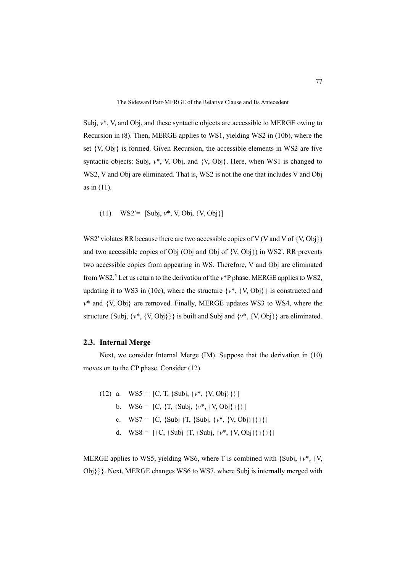Subj, *v*\*, V, and Obj, and these syntactic objects are accessible to MERGE owing to Recursion in (8). Then, MERGE applies to WS1, yielding WS2 in (10b), where the set {V, Obj} is formed. Given Recursion, the accessible elements in WS2 are five syntactic objects: Subj, *v*\*, V, Obj, and {V, Obj}. Here, when WS1 is changed to WS2, V and Obj are eliminated. That is, WS2 is not the one that includes V and Obj as in (11).

(11) WS2<sup>'</sup>=  $[Subi, v^*, V, Obj, {V, Obi}]$ 

WS2' violates RR because there are two accessible copies of V (V and V of  $\{V,Obj\}$ ) and two accessible copies of Obj (Obj and Obj of {V, Obj}) in WS2'. RR prevents two accessible copies from appearing in WS. Therefore, V and Obj are eliminated from WS2.<sup>5</sup> Let us return to the derivation of the v\*P phase. MERGE applies to WS2, updating it to WS3 in (10c), where the structure  $\{v^*, \{V, Obj\}\}\$ is constructed and *v*\* and {V, Obj} are removed. Finally, MERGE updates WS3 to WS4, where the structure  $\{Subj, \{v^*, \{V, Obj\}}\}$  is built and Subj and  $\{v^*, \{V, Obj\}}\}$  are eliminated.

### **2.3. Internal Merge**

Next, we consider Internal Merge (IM). Suppose that the derivation in (10) moves on to the CP phase. Consider (12).

(12) a.  $WS5 = [C, T, {Subj, {v*, {V, Obj}}}]\}$ b.  $WS6 = [C, {T, {Subj, {v*, {V, Obj}}}}]$ c.  $WS7 = [C, {Subj \{T, {Subj, \{v^*, \{V, Obj\}}\}}\}]$ d. WS8 =  $[\{C, \{Subj\} \ T, \{Subj, \{v^*, \{V,Obj\}\}\}\}]$ 

MERGE applies to WS5, yielding WS6, where T is combined with {Subj, {*v*\*, {V, Obj}}}. Next, MERGE changes WS6 to WS7, where Subj is internally merged with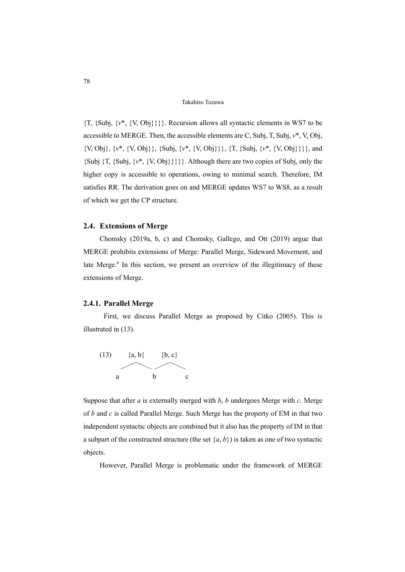{T, {Subj, {*v*\*, {V, Obj}}}}. Recursion allows all syntactic elements in WS7 to be accessible to MERGE. Then, the accessible elements are C, Subj, T, Subj, *v*\*, V, Obj, {V, Obj}, {*v*\*, {V, Obj}}, {Subj, {*v*\*, {V, Obj}}}, {T, {Subj, {*v*\*, {V, Obj}}}}, and  ${\{Subj\;\{T,\;\{Subj,\;\{v^*,\;\{V,\;Obj\}\}\}\}\}}$ . Although there are two copies of Subj, only the higher copy is accessible to operations, owing to minimal search. Therefore, IM satisfies RR. The derivation goes on and MERGE updates WS7 to WS8, as a result of which we get the CP structure.

# **2.4. Extensions of Merge**

Chomsky (2019a, b, c) and Chomsky, Gallego, and Ott (2019) argue that MERGE prohibits extensions of Merge: Parallel Merge, Sideward Movement, and late Merge.<sup>6</sup> In this section, we present an overview of the illegitimacy of these extensions of Merge.

# **2.4.1. Parallel Merge**

First, we discuss Parallel Merge as proposed by Citko (2005). This is illustrated in (13).



Suppose that after *a* is externally merged with *b*, *b* undergoes Merge with *c*. Merge of *b* and *c* is called Parallel Merge. Such Merge has the property of EM in that two independent syntactic objects are combined but it also has the property of IM in that a subpart of the constructed structure (the set  $\{a, b\}$ ) is taken as one of two syntactic objects.

However, Parallel Merge is problematic under the framework of MERGE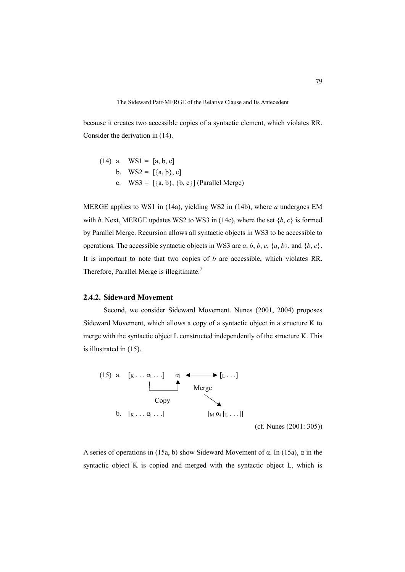because it creates two accessible copies of a syntactic element, which violates RR. Consider the derivation in (14).

(14) a. WS1 = [a, b, c] b. WS2 = [{a, b}, c] c. WS3 = [{a, b}, {b, c}] (Parallel Merge)

MERGE applies to WS1 in (14a), yielding WS2 in (14b), where *a* undergoes EM with *b*. Next, MERGE updates WS2 to WS3 in (14c), where the set  ${b, c}$  is formed by Parallel Merge. Recursion allows all syntactic objects in WS3 to be accessible to operations. The accessible syntactic objects in WS3 are  $a, b, b, c, \{a, b\}$ , and  $\{b, c\}$ . It is important to note that two copies of *b* are accessible, which violates RR. Therefore, Parallel Merge is illegitimate.<sup>7</sup>

# **2.4.2. Sideward Movement**

Second, we consider Sideward Movement. Nunes (2001, 2004) proposes Sideward Movement, which allows a copy of a syntactic object in a structure K to merge with the syntactic object L constructed independently of the structure K. This is illustrated in (15).



(cf. Nunes (2001: 305))

A series of operations in (15a, b) show Sideward Movement of α. In (15a), α in the syntactic object K is copied and merged with the syntactic object L, which is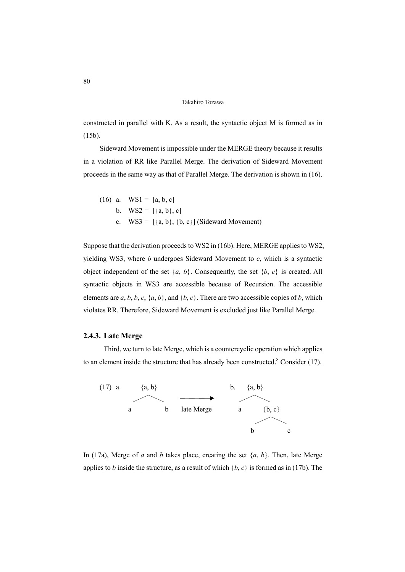constructed in parallel with K. As a result, the syntactic object M is formed as in (15b).

Sideward Movement is impossible under the MERGE theory because it results in a violation of RR like Parallel Merge. The derivation of Sideward Movement proceeds in the same way as that of Parallel Merge. The derivation is shown in (16).

(16) a. WS1 = [a, b, c] b. WS2 = [{a, b}, c] c. WS3 = [{a, b}, {b, c}] (Sideward Movement)

Suppose that the derivation proceeds to WS2 in (16b). Here, MERGE applies to WS2, yielding WS3, where *b* undergoes Sideward Movement to *c*, which is a syntactic object independent of the set  $\{a, b\}$ . Consequently, the set  $\{b, c\}$  is created. All syntactic objects in WS3 are accessible because of Recursion. The accessible elements are  $a, b, b, c, \{a, b\}$ , and  $\{b, c\}$ . There are two accessible copies of  $b$ , which violates RR. Therefore, Sideward Movement is excluded just like Parallel Merge.

# **2.4.3. Late Merge**

Third, we turn to late Merge, which is a countercyclic operation which applies to an element inside the structure that has already been constructed. $8 \text{ Consider } (17)$ .



In (17a), Merge of *a* and *b* takes place, creating the set  $\{a, b\}$ . Then, late Merge applies to *b* inside the structure, as a result of which  ${b, c}$  is formed as in (17b). The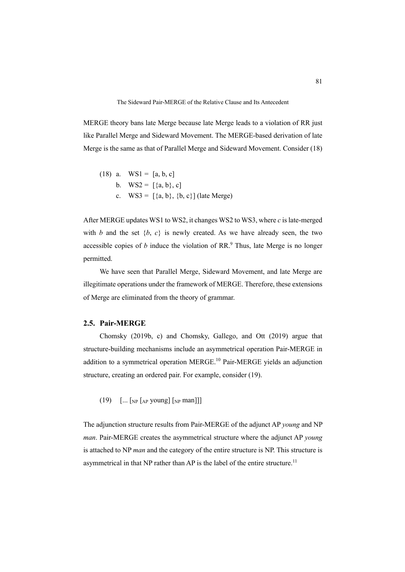MERGE theory bans late Merge because late Merge leads to a violation of RR just like Parallel Merge and Sideward Movement. The MERGE-based derivation of late Merge is the same as that of Parallel Merge and Sideward Movement. Consider (18)

(18) a. WS1 = [a, b, c] b. WS2 = [{a, b}, c] c. WS3 = [{a, b}, {b, c}] (late Merge)

After MERGE updates WS1 to WS2, it changes WS2 to WS3, where *c* is late-merged with *b* and the set  $\{b, c\}$  is newly created. As we have already seen, the two accessible copies of  $b$  induce the violation of RR. $<sup>9</sup>$  Thus, late Merge is no longer</sup> permitted.

We have seen that Parallel Merge, Sideward Movement, and late Merge are illegitimate operations under the framework of MERGE. Therefore, these extensions of Merge are eliminated from the theory of grammar.

# **2.5. Pair-MERGE**

Chomsky (2019b, c) and Chomsky, Gallego, and Ott (2019) argue that structure-building mechanisms include an asymmetrical operation Pair-MERGE in addition to a symmetrical operation MERGE.<sup>10</sup> Pair-MERGE yields an adjunction structure, creating an ordered pair. For example, consider (19).

(19)  $\left[\dots\right]\left[\text{NP} \left[\text{AP} \text{ young}\right]\left[\text{NP} \text{ man}\right]\right]$ 

The adjunction structure results from Pair-MERGE of the adjunct AP *young* and NP *man*. Pair-MERGE creates the asymmetrical structure where the adjunct AP *young* is attached to NP *man* and the category of the entire structure is NP. This structure is asymmetrical in that NP rather than AP is the label of the entire structure.<sup>11</sup>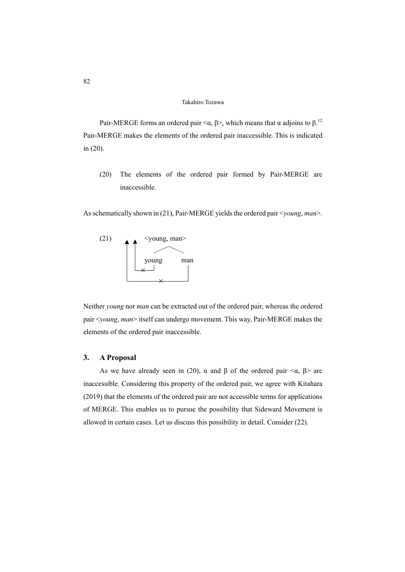Pair-MERGE forms an ordered pair  $\langle \alpha, \beta \rangle$ , which means that  $\alpha$  adjoins to  $\beta$ .<sup>12</sup> Pair-MERGE makes the elements of the ordered pair inaccessible. This is indicated in (20).

(20) The elements of the ordered pair formed by Pair-MERGE are inaccessible.

As schematically shown in (21), Pair-MERGE yields the ordered pair <*young*, *man*>.



Neither *young* nor *man* can be extracted out of the ordered pair, whereas the ordered pair <*young*, *man*> itself can undergo movement. This way, Pair-MERGE makes the elements of the ordered pair inaccessible.

# **3. A Proposal**

As we have already seen in (20),  $\alpha$  and  $\beta$  of the ordered pair  $\langle \alpha, \beta \rangle$  are inaccessible. Considering this property of the ordered pair, we agree with Kitahara (2019) that the elements of the ordered pair are not accessible terms for applications of MERGE. This enables us to pursue the possibility that Sideward Movement is allowed in certain cases. Let us discuss this possibility in detail. Consider (22).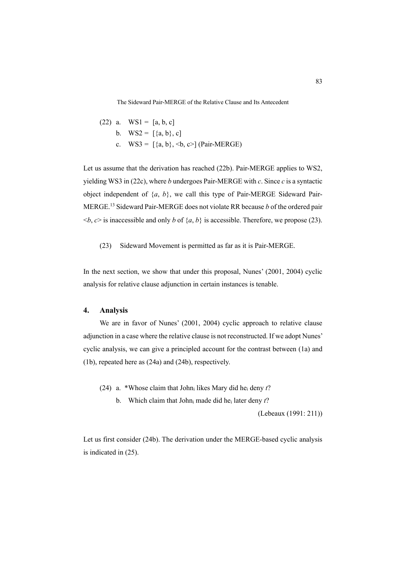(22) a. WS1 = [a, b, c] b. WS2 = [{a, b}, c] c. WS3 = [{a, b}, <b, c>] (Pair-MERGE)

Let us assume that the derivation has reached (22b). Pair-MERGE applies to WS2, yielding WS3 in (22c), where *b* undergoes Pair-MERGE with *c*. Since *c* is a syntactic object independent of {*a*, *b*}, we call this type of Pair-MERGE Sideward Pair-MERGE.13 Sideward Pair-MERGE does not violate RR because *b* of the ordered pair  $\langle b, c \rangle$  is inaccessible and only *b* of  $\{a, b\}$  is accessible. Therefore, we propose (23).

(23) Sideward Movement is permitted as far as it is Pair-MERGE.

In the next section, we show that under this proposal, Nunes' (2001, 2004) cyclic analysis for relative clause adjunction in certain instances is tenable.

# **4. Analysis**

We are in favor of Nunes' (2001, 2004) cyclic approach to relative clause adjunction in a case where the relative clause is not reconstructed. If we adopt Nunes' cyclic analysis, we can give a principled account for the contrast between (1a) and (1b), repeated here as (24a) and (24b), respectively.

- (24) a. \*Whose claim that Johni likes Mary did hei deny *t*?
	- b. Which claim that Johni made did hei later deny *t*?

(Lebeaux (1991: 211))

Let us first consider (24b). The derivation under the MERGE-based cyclic analysis is indicated in (25).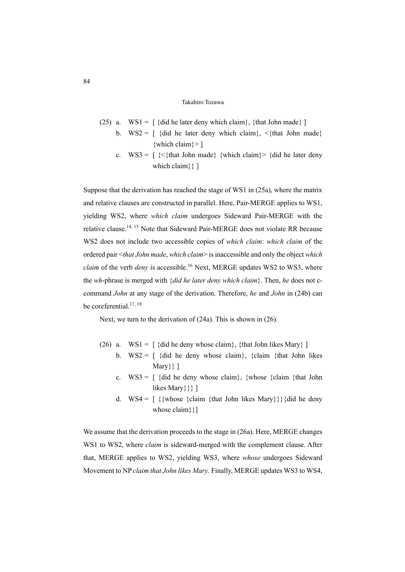- (25) a.  $WS1 = \int \{dd \, \text{he} \, \text{later} \, \text{deny} \, \text{which} \, \text{claim} \}, \, \{ \text{that John made} \}$ 
	- b.  $WS2 = \int \{dd \mid \}$  he later deny which claim}, <{that John made} {which claim}> ]
	- c.  $WS3 = \left[\ \{ \langle \} \text{that John made} \right] \}$  {which claim}  $>$  {did he later deny which claim} } ]

Suppose that the derivation has reached the stage of WS1 in (25a), where the matrix and relative clauses are constructed in parallel. Here, Pair-MERGE applies to WS1, yielding WS2, where *which claim* undergoes Sideward Pair-MERGE with the relative clause.14, <sup>15</sup> Note that Sideward Pair-MERGE does not violate RR because WS2 does not include two accessible copies of *which claim*: *which claim* of the ordered pair <*that John made*, *which claim*> is inaccessible and only the object *which claim* of the verb *deny* is accessible.16 Next, MERGE updates WS2 to WS3, where the *wh*-phrase is merged with {*did he later deny which claim*}. Then, *he* does not ccommand *John* at any stage of the derivation. Therefore, *he* and *John* in (24b) can be coreferential.<sup>17, 18</sup>

Next, we turn to the derivation of (24a). This is shown in (26).

- (26) a.  $WS1 = \int \{dd \, \text{he} \, \text{deny} \, \text{whose claim} \}, \{ \text{that John likes Mary} \}$ 
	- b.  $WS2 = \int \{dd \, \text{he} \, \text{deny} \, \text{whose claim} \}$ ,  $\{claim \, \{that \, John \, likes} \}$ Mary}} ]
	- c.  $WS3 = \int \{dd \, \text{he} \, \text{deny} \, \text{whose claim } \{ \text{chain} \, \}$ likes Mary } } ]
	- d. WS4 =  $\{\{\text{whose } \{\text{claim } \{\text{that John likes Mary}\}\}\}\$ whose claim} } ]

We assume that the derivation proceeds to the stage in (26a). Here, MERGE changes WS1 to WS2, where *claim* is sideward-merged with the complement clause. After that, MERGE applies to WS2, yielding WS3, where *whose* undergoes Sideward Movement to NP *claim that John likes Mary*. Finally, MERGE updates WS3 to WS4,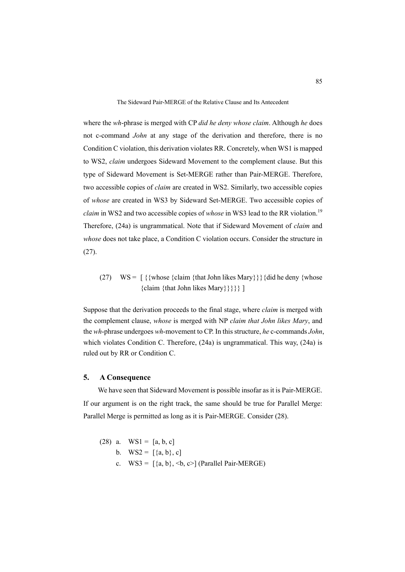where the *wh*-phrase is merged with CP *did he deny whose claim*. Although *he* does not c-command *John* at any stage of the derivation and therefore, there is no Condition C violation, this derivation violates RR. Concretely, when WS1 is mapped to WS2, *claim* undergoes Sideward Movement to the complement clause. But this type of Sideward Movement is Set-MERGE rather than Pair-MERGE. Therefore, two accessible copies of *claim* are created in WS2. Similarly, two accessible copies of *whose* are created in WS3 by Sideward Set-MERGE. Two accessible copies of *claim* in WS2 and two accessible copies of *whose* in WS3 lead to the RR violation.<sup>19</sup> Therefore, (24a) is ungrammatical. Note that if Sideward Movement of *claim* and *whose* does not take place, a Condition C violation occurs. Consider the structure in (27).

(27)  $WS = \int {\{\text{whose } \{\text{claim } \{\text{that John likes Mary}\}\}\}}$  {did he deny {whose} {claim {that John likes Mary}}}}} ]

Suppose that the derivation proceeds to the final stage, where *claim* is merged with the complement clause, *whose* is merged with NP *claim that John likes Mary*, and the *wh*-phrase undergoes *wh*-movement to CP. In this structure, *he* c-commands *John*, which violates Condition C. Therefore, (24a) is ungrammatical. This way, (24a) is ruled out by RR or Condition C.

# **5. A Consequence**

We have seen that Sideward Movement is possible insofar as it is Pair-MERGE. If our argument is on the right track, the same should be true for Parallel Merge: Parallel Merge is permitted as long as it is Pair-MERGE. Consider (28).

(28) a.  $WS1 = [a, b, c]$ b.  $WS2 = [\{a, b\}, c]$ c.  $WS3 = \frac{3a}{b}, \leq b, c > \frac{3a}{a}$  (Parallel Pair-MERGE)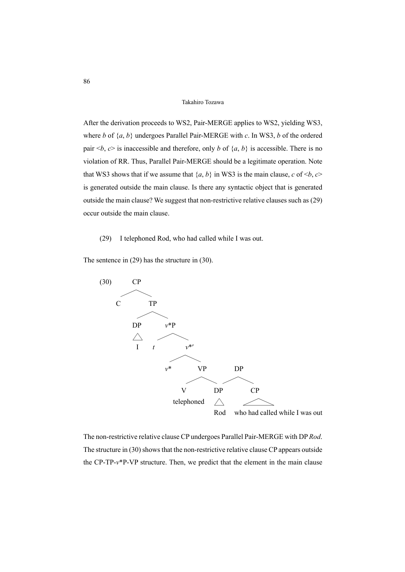After the derivation proceeds to WS2, Pair-MERGE applies to WS2, yielding WS3, where *b* of {*a*, *b*} undergoes Parallel Pair-MERGE with *c*. In WS3, *b* of the ordered pair  $\langle b, c \rangle$  is inaccessible and therefore, only *b* of  $\{a, b\}$  is accessible. There is no violation of RR. Thus, Parallel Pair-MERGE should be a legitimate operation. Note that WS3 shows that if we assume that  $\{a, b\}$  in WS3 is the main clause,  $c$  of  $\leq b, c$ is generated outside the main clause. Is there any syntactic object that is generated outside the main clause? We suggest that non-restrictive relative clauses such as (29) occur outside the main clause.

(29) I telephoned Rod, who had called while I was out.

The sentence in (29) has the structure in (30).



The non-restrictive relative clause CP undergoes Parallel Pair-MERGE with DP *Rod*. The structure in (30) shows that the non-restrictive relative clause CP appears outside the CP-TP-*v*\*P-VP structure. Then, we predict that the element in the main clause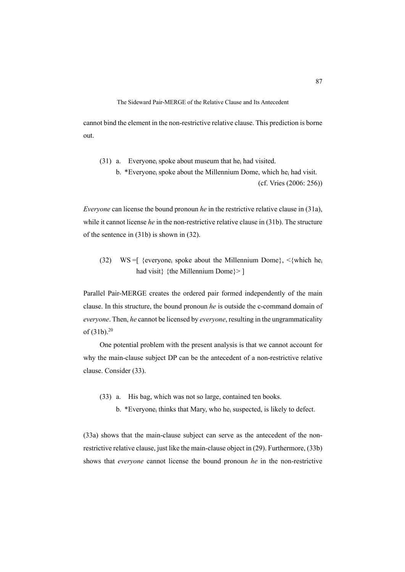cannot bind the element in the non-restrictive relative clause. This prediction is borne out.

(31) a. Everyonei spoke about museum that hei had visited.

b. \*Everyone<sub>i</sub> spoke about the Millennium Dome, which he<sub>i</sub> had visit. (cf. Vries (2006: 256))

*Everyone* can license the bound pronoun *he* in the restrictive relative clause in (31a), while it cannot license *he* in the non-restrictive relative clause in (31b). The structure of the sentence in (31b) is shown in (32).

(32) WS = [ {everyone<sub>i</sub> spoke about the Millennium Dome},  $\langle$ {which he<sub>i</sub> had visit} {the Millennium Dome}>]

Parallel Pair-MERGE creates the ordered pair formed independently of the main clause. In this structure, the bound pronoun *he* is outside the c-command domain of *everyone*. Then, *he* cannot be licensed by *everyone*, resulting in the ungrammaticality of  $(31b)^{20}$ 

One potential problem with the present analysis is that we cannot account for why the main-clause subject DP can be the antecedent of a non-restrictive relative clause. Consider (33).

- (33) a. His bag, which was not so large, contained ten books.
	- b. \*Everyone<sub>i</sub> thinks that Mary, who he<sub>i</sub> suspected, is likely to defect.

(33a) shows that the main-clause subject can serve as the antecedent of the nonrestrictive relative clause, just like the main-clause object in (29). Furthermore, (33b) shows that *everyone* cannot license the bound pronoun *he* in the non-restrictive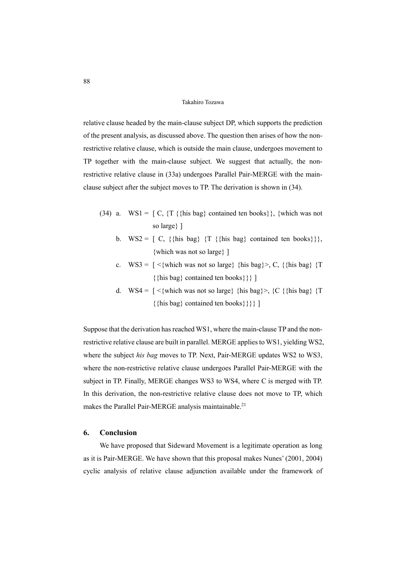relative clause headed by the main-clause subject DP, which supports the prediction of the present analysis, as discussed above. The question then arises of how the nonrestrictive relative clause, which is outside the main clause, undergoes movement to TP together with the main-clause subject. We suggest that actually, the nonrestrictive relative clause in (33a) undergoes Parallel Pair-MERGE with the mainclause subject after the subject moves to TP. The derivation is shown in (34).

- (34) a.  $WS1 = \lceil C, \{T, \{\text{his bag}\}\}$  contained ten books}}, {which was not so large} ]
	- b. WS2 =  $\lceil C, \{\text{his bag}\} \rceil$   $\{\{\text{his bag}\} \}$  contained ten books}}, {which was not so large} ]
	- c.  $WS3 = \lceil \langle \{\text{which was not so large}\} \rangle$  {his bag} >, C, {{his bag} {T} {{his bag} contained ten books}}} ]
	- d. WS4 =  $\lceil$  <{which was not so large} {his bag} >, {C {{his bag} {T {{his bag} contained ten books}}}} ]

Suppose that the derivation has reached WS1, where the main-clause TP and the nonrestrictive relative clause are built in parallel. MERGE applies to WS1, yielding WS2, where the subject *his bag* moves to TP. Next, Pair-MERGE updates WS2 to WS3, where the non-restrictive relative clause undergoes Parallel Pair-MERGE with the subject in TP. Finally, MERGE changes WS3 to WS4, where C is merged with TP. In this derivation, the non-restrictive relative clause does not move to TP, which makes the Parallel Pair-MERGE analysis maintainable.<sup>21</sup>

# **6. Conclusion**

We have proposed that Sideward Movement is a legitimate operation as long as it is Pair-MERGE. We have shown that this proposal makes Nunes' (2001, 2004) cyclic analysis of relative clause adjunction available under the framework of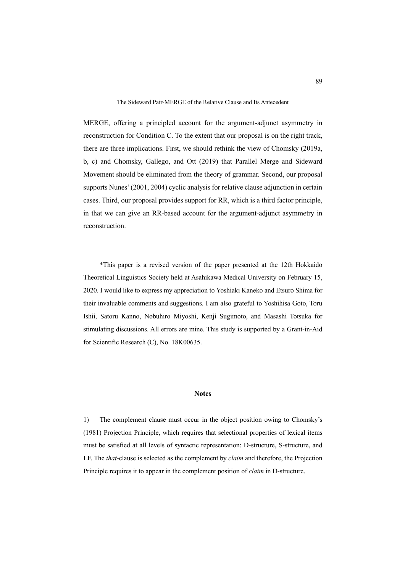MERGE, offering a principled account for the argument-adjunct asymmetry in reconstruction for Condition C. To the extent that our proposal is on the right track, there are three implications. First, we should rethink the view of Chomsky (2019a, b, c) and Chomsky, Gallego, and Ott (2019) that Parallel Merge and Sideward Movement should be eliminated from the theory of grammar. Second, our proposal supports Nunes' (2001, 2004) cyclic analysis for relative clause adjunction in certain cases. Third, our proposal provides support for RR, which is a third factor principle, in that we can give an RR-based account for the argument-adjunct asymmetry in reconstruction.

\*This paper is a revised version of the paper presented at the 12th Hokkaido Theoretical Linguistics Society held at Asahikawa Medical University on February 15, 2020. I would like to express my appreciation to Yoshiaki Kaneko and Etsuro Shima for their invaluable comments and suggestions. I am also grateful to Yoshihisa Goto, Toru Ishii, Satoru Kanno, Nobuhiro Miyoshi, Kenji Sugimoto, and Masashi Totsuka for stimulating discussions. All errors are mine. This study is supported by a Grant-in-Aid for Scientific Research (C), No. 18K00635.

### **Notes**

1) The complement clause must occur in the object position owing to Chomsky's (1981) Projection Principle, which requires that selectional properties of lexical items must be satisfied at all levels of syntactic representation: D-structure, S-structure, and LF. The *that*-clause is selected as the complement by *claim* and therefore, the Projection Principle requires it to appear in the complement position of *claim* in D-structure.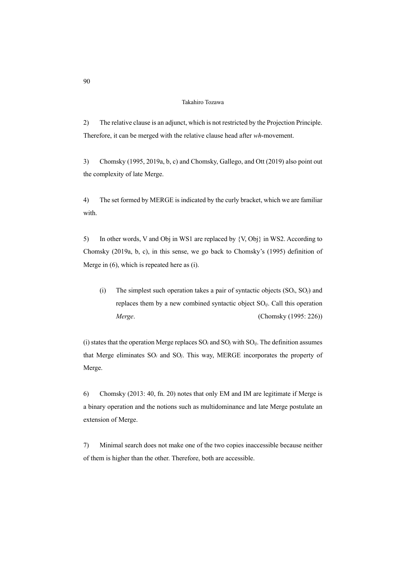2) The relative clause is an adjunct, which is not restricted by the Projection Principle. Therefore, it can be merged with the relative clause head after *wh*-movement.

3) Chomsky (1995, 2019a, b, c) and Chomsky, Gallego, and Ott (2019) also point out the complexity of late Merge.

4) The set formed by MERGE is indicated by the curly bracket, which we are familiar with.

5) In other words, V and Obj in WS1 are replaced by {V, Obj} in WS2. According to Chomsky (2019a, b, c), in this sense, we go back to Chomsky's (1995) definition of Merge in (6), which is repeated here as (i).

(i) The simplest such operation takes a pair of syntactic objects (SO*i*, SO*j*) and replaces them by a new combined syntactic object SO*ij*. Call this operation *Merge*. (Chomsky (1995: 226))

(i) states that the operation Merge replaces SO*<sup>i</sup>* and SO*<sup>j</sup>* with SO*ij*. The definition assumes that Merge eliminates SO*<sup>i</sup>* and SO*j*. This way, MERGE incorporates the property of Merge.

6) Chomsky (2013: 40, fn. 20) notes that only EM and IM are legitimate if Merge is a binary operation and the notions such as multidominance and late Merge postulate an extension of Merge.

7) Minimal search does not make one of the two copies inaccessible because neither of them is higher than the other. Therefore, both are accessible.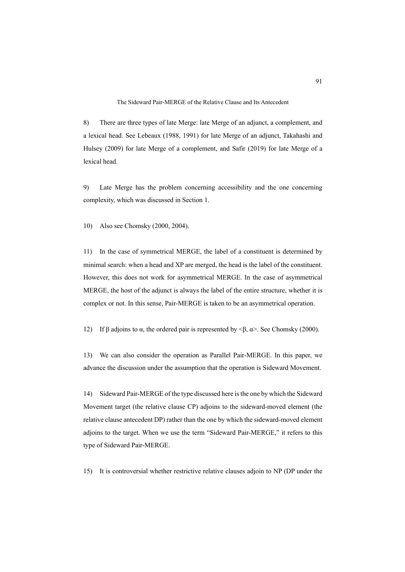8) There are three types of late Merge: late Merge of an adjunct, a complement, and a lexical head. See Lebeaux (1988, 1991) for late Merge of an adjunct, Takahashi and Hulsey (2009) for late Merge of a complement, and Safir (2019) for late Merge of a lexical head.

9) Late Merge has the problem concerning accessibility and the one concerning complexity, which was discussed in Section 1.

10) Also see Chomsky (2000, 2004).

11) In the case of symmetrical MERGE, the label of a constituent is determined by minimal search: when a head and XP are merged, the head is the label of the constituent. However, this does not work for asymmetrical MERGE. In the case of asymmetrical MERGE, the host of the adjunct is always the label of the entire structure, whether it is complex or not. In this sense, Pair-MERGE is taken to be an asymmetrical operation.

12) If β adjoins to α, the ordered pair is represented by  $\langle \beta, \alpha \rangle$ . See Chomsky (2000).

13) We can also consider the operation as Parallel Pair-MERGE. In this paper, we advance the discussion under the assumption that the operation is Sideward Movement.

14) Sideward Pair-MERGE of the type discussed here is the one by which the Sideward Movement target (the relative clause CP) adjoins to the sideward-moved element (the relative clause antecedent DP) rather than the one by which the sideward-moved element adjoins to the target. When we use the term "Sideward Pair-MERGE," it refers to this type of Sideward Pair-MERGE.

15) It is controversial whether restrictive relative clauses adjoin to NP (DP under the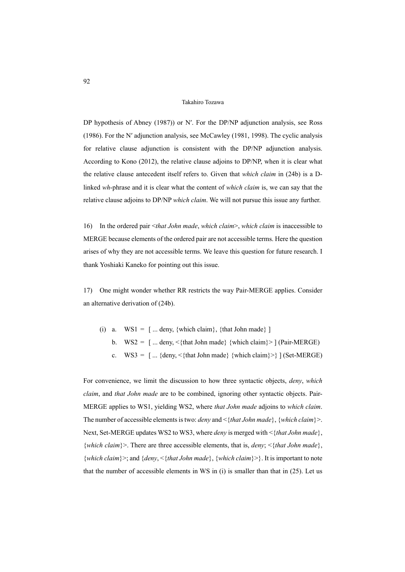DP hypothesis of Abney (1987)) or N'. For the DP/NP adjunction analysis, see Ross (1986). For the Nʹ adjunction analysis, see McCawley (1981, 1998). The cyclic analysis for relative clause adjunction is consistent with the DP/NP adjunction analysis. According to Kono (2012), the relative clause adjoins to DP/NP, when it is clear what the relative clause antecedent itself refers to. Given that *which claim* in (24b) is a Dlinked *wh*-phrase and it is clear what the content of *which claim* is, we can say that the relative clause adjoins to DP/NP *which claim*. We will not pursue this issue any further.

16) In the ordered pair <*that John made*, *which claim*>, *which claim* is inaccessible to MERGE because elements of the ordered pair are not accessible terms. Here the question arises of why they are not accessible terms. We leave this question for future research. I thank Yoshiaki Kaneko for pointing out this issue.

17) One might wonder whether RR restricts the way Pair-MERGE applies. Consider an alternative derivation of (24b).

- (i) a.  $WS1 =$  [... deny, {which claim}, {that John made} ]
	- b.  $WS2 = \lceil ...$  deny,  $\langle$  that John made} {which claim} > \lceil (Pair-MERGE)
		- c.  $WS3 = \lceil ... \{\text{deny}, \leq \{\text{that John made}\} \} \text{ (Set-MERGE)}$

For convenience, we limit the discussion to how three syntactic objects, *deny*, *which claim*, and *that John made* are to be combined, ignoring other syntactic objects. Pair-MERGE applies to WS1, yielding WS2, where *that John made* adjoins to *which claim*. The number of accessible elements is two: *deny* and <{*that John made*}, {*which claim*}>. Next, Set-MERGE updates WS2 to WS3, where *deny* is merged with <{*that John made*}, {*which claim*}>. There are three accessible elements, that is, *deny*; <{*that John made*}, {*which claim*}>; and {*deny*, <{*that John made*}, {*which claim*}>}. It is important to note that the number of accessible elements in  $WS$  in (i) is smaller than that in  $(25)$ . Let us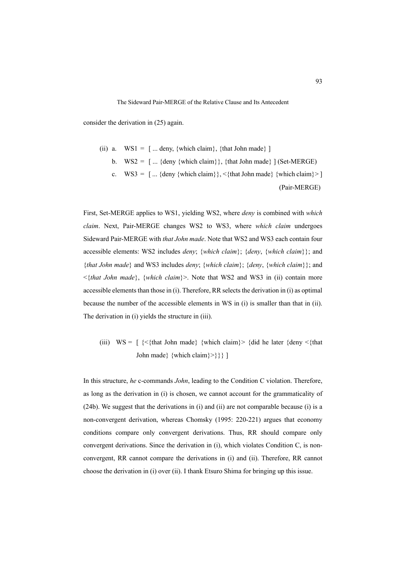consider the derivation in (25) again.

(ii) a.  $WS1 = \lceil ...$  deny, {which claim}, {that John made} \rceilb.  $WS2 = [\dots \{ \text{deny} \} \text{which claim} \}, \{ \text{that John made} \} ] \text{ (Set-MERGE)}$ c.  $WS3 = [\dots \{ \text{deny } \{ \text{which claim} \} \}, \{ \text{that John made} \} \{ \text{which claim} \} \} ]$ (Pair-MERGE)

First, Set-MERGE applies to WS1, yielding WS2, where *deny* is combined with *which claim*. Next, Pair-MERGE changes WS2 to WS3, where *which claim* undergoes Sideward Pair-MERGE with *that John made*. Note that WS2 and WS3 each contain four accessible elements: WS2 includes *deny*; {*which claim*}; {*deny*, {*which claim*}}; and {*that John made*} and WS3 includes *deny*; {*which claim*}; {*deny*, {*which claim*}}; and <{*that John made*}, {*which claim*}>. Note that WS2 and WS3 in (ii) contain more accessible elements than those in (i). Therefore, RR selects the derivation in (i) as optimal because the number of the accessible elements in WS in (i) is smaller than that in (ii). The derivation in (i) yields the structure in (iii).

(iii)  $WS = \int \{\langle \text{that John made} \rangle \}$  {which claim}  $>$  {did he later {deny  $\langle \text{that} \rangle$ } John made} {which claim}>}}} ]

In this structure, *he* c-commands *John*, leading to the Condition C violation. Therefore, as long as the derivation in (i) is chosen, we cannot account for the grammaticality of (24b). We suggest that the derivations in (i) and (ii) are not comparable because (i) is a non-convergent derivation, whereas Chomsky (1995: 220-221) argues that economy conditions compare only convergent derivations. Thus, RR should compare only convergent derivations. Since the derivation in (i), which violates Condition C, is nonconvergent, RR cannot compare the derivations in (i) and (ii). Therefore, RR cannot choose the derivation in (i) over (ii). I thank Etsuro Shima for bringing up this issue.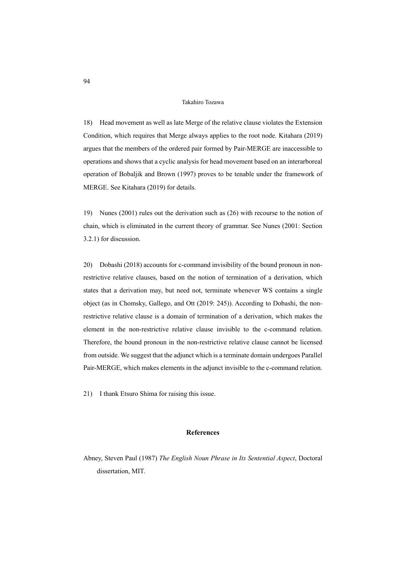18) Head movement as well as late Merge of the relative clause violates the Extension Condition, which requires that Merge always applies to the root node. Kitahara (2019) argues that the members of the ordered pair formed by Pair-MERGE are inaccessible to operations and shows that a cyclic analysis for head movement based on an interarboreal operation of Bobaljik and Brown (1997) proves to be tenable under the framework of MERGE. See Kitahara (2019) for details.

19) Nunes (2001) rules out the derivation such as (26) with recourse to the notion of chain, which is eliminated in the current theory of grammar. See Nunes (2001: Section 3.2.1) for discussion.

20) Dobashi (2018) accounts for c-command invisibility of the bound pronoun in nonrestrictive relative clauses, based on the notion of termination of a derivation, which states that a derivation may, but need not, terminate whenever WS contains a single object (as in Chomsky, Gallego, and Ott (2019: 245)). According to Dobashi, the nonrestrictive relative clause is a domain of termination of a derivation, which makes the element in the non-restrictive relative clause invisible to the c-command relation. Therefore, the bound pronoun in the non-restrictive relative clause cannot be licensed from outside. We suggest that the adjunct which is a terminate domain undergoes Parallel Pair-MERGE, which makes elements in the adjunct invisible to the c-command relation.

21) I thank Etsuro Shima for raising this issue.

### **References**

Abney, Steven Paul (1987) *The English Noun Phrase in Its Sentential Aspect*, Doctoral dissertation, MIT.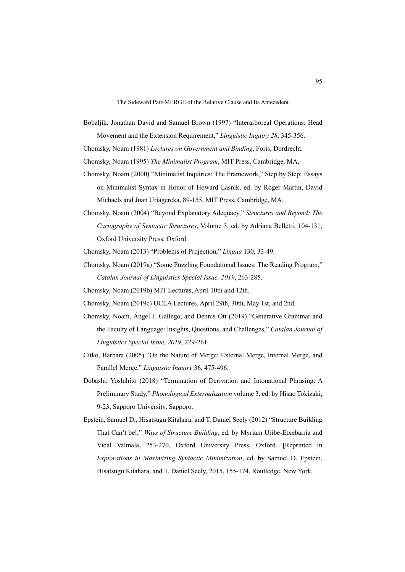Bobaljik, Jonathan David and Samuel Brown (1997) "Interarboreal Operations: Head Movement and the Extension Requirement," *Linguistic Inquiry 28*, 345-356.

Chomsky, Noam (1981) *Lectures on Government and Binding*, Foris, Dordrecht.

Chomsky, Noam (1995) *The Minimalist Program*, MIT Press, Cambridge, MA.

- Chomsky, Noam (2000) "Minimalist Inquiries: The Framework," Step by Step: Essays on Minimalist Syntax in Honor of Howard Lasnik, ed. by Roger Martin, David Michaels and Juan Uriagereka, 89-155, MIT Press, Cambridge, MA.
- Chomsky, Noam (2004) "Beyond Explanatory Adequacy," *Structures and Beyond: The Cartography of Syntactic Structures*, Volume 3, ed. by Adriana Belletti, 104-131, Oxford University Press, Oxford.

Chomsky, Noam (2013) "Problems of Projection," *Lingua* 130, 33-49.

- Chomsky, Noam (2019a) "Some Puzzling Foundational Issues: The Reading Program," *Catalan Journal of Linguistics Special Issue, 2019*, 263-285.
- Chomsky, Noam (2019b) MIT Lectures, April 10th and 12th.

Chomsky, Noam (2019c) UCLA Lectures, April 29th, 30th, May 1st, and 2nd.

- Chomsky, Noam, Ángel J. Gallego, and Dennis Ott (2019) "Generative Grammar and the Faculty of Language: Insights, Questions, and Challenges," *Catalan Journal of Linguistics Special Issue, 2019*, 229-261.
- Citko, Barbara (2005) "On the Nature of Merge: External Merge, Internal Merge, and Parallel Merge," *Linguistic Inquiry* 36, 475-496.
- Dobashi, Yoshihito (2018) "Termination of Derivation and Intonational Phrasing: A Preliminary Study," *Phonological Externalization* volume 3, ed. by Hisao Tokizaki, 9-23, Sapporo University, Sapporo.
- Epstein, Samuel D., Hisatsugu Kitahara, and T. Daniel Seely (2012) "Structure Building That Can't be!," *Ways of Structure Building*, ed. by Myriam Uribe-Etxebarria and Vidal Valmala, 253-270, Oxford University Press, Oxford. [Reprinted in *Explorations in Maximizing Syntactic Minimization*, ed. by Samuel D. Epstein, Hisatsugu Kitahara, and T. Daniel Seely, 2015, 155-174, Routledge, New York.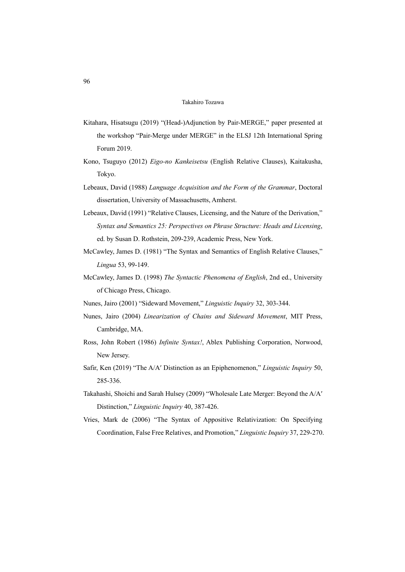- Kitahara, Hisatsugu (2019) "(Head-)Adjunction by Pair-MERGE," paper presented at the workshop "Pair-Merge under MERGE" in the ELSJ 12th International Spring Forum 2019.
- Kono, Tsuguyo (2012) *Eigo-no Kankeisetsu* (English Relative Clauses), Kaitakusha, Tokyo.
- Lebeaux, David (1988) *Language Acquisition and the Form of the Grammar*, Doctoral dissertation, University of Massachusetts, Amherst.
- Lebeaux, David (1991) "Relative Clauses, Licensing, and the Nature of the Derivation," *Syntax and Semantics 25: Perspectives on Phrase Structure: Heads and Licensing*, ed. by Susan D. Rothstein, 209-239, Academic Press, New York.
- McCawley, James D. (1981) "The Syntax and Semantics of English Relative Clauses," *Lingua* 53, 99-149.
- McCawley, James D. (1998) *The Syntactic Phenomena of English*, 2nd ed., University of Chicago Press, Chicago.
- Nunes, Jairo (2001) "Sideward Movement," *Linguistic Inquiry* 32, 303-344.
- Nunes, Jairo (2004) *Linearization of Chains and Sideward Movement*, MIT Press, Cambridge, MA.
- Ross, John Robert (1986) *Infinite Syntax!*, Ablex Publishing Corporation, Norwood, New Jersey.
- Safir, Ken (2019) "The A/Aʹ Distinction as an Epiphenomenon," *Linguistic Inquiry* 50, 285-336.
- Takahashi, Shoichi and Sarah Hulsey (2009) "Wholesale Late Merger: Beyond the A/Aʹ Distinction," *Linguistic Inquiry* 40, 387-426.
- Vries, Mark de (2006) "The Syntax of Appositive Relativization: On Specifying Coordination, False Free Relatives, and Promotion," *Linguistic Inquiry* 37, 229-270.